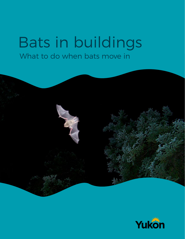# Bats in buildings What to do when bats move in



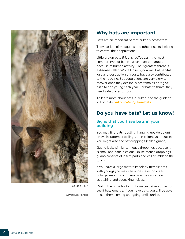

Gordon Court

Cover: Lea Randall

# **Why bats are important**

Bats are an important part of Yukon's ecosystem.

They eat lots of mosquitos and other insects, helping to control their populations.

Little brown bats (*Myotis lucifugus*) – the most common type of bat in Yukon – are endangered because of human activity. Their greatest threat is a disease called White Nose Syndrome, but habitat loss and destruction of roosts have also contributed to their decline. Bat populations are very slow to recover once they decline, since females only give birth to one young each year. For bats to thrive, they need safe places to roost.

To learn more about bats in Yukon, see the guide to Yukon bats: **[yukon.ca/en/yukon-bats](https://yukon.ca/en/yukon-bats)**.

# **Do you have bats? Let us know!**

### Signs that you have bats in your building

You may find bats roosting (hanging upside down) on walls, rafters or ceilings, or in chimneys or cracks. You might also see bat droppings (called guano).

Guano looks similar to mouse droppings because it is small and dark in colour. Unlike mouse droppings, guano consists of insect parts and will crumble to the touch.

If you have a large maternity colony (female bats with young) you may see urine stains on walls or large amounts of guano. You may also hear scratching and squeaking noises.

Watch the outside of your home just after sunset to see if bats emerge. If you have bats, you will be able to see them coming and going until sunrise.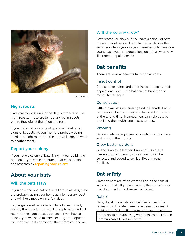

Jen Talerico

### Night roosts

Bats mostly roost during the day, but they also use night roosts. These are temporary resting spots, where they digest their food and rest.

If you find small amounts of guano without other signs of bat activity, your home is probably being used as a night roost, and the bats will soon move on to another roost.

### Report your colony

If you have a colony of bats living in your building or bat house, you can contribute to bat conservation and research by **[reporting your colony](mailto:batwatch@gov.yk.ca)**.

# **About your bats**

### Will the bats stay?

If you only find one bat or a small group of bats, they are probably using your home as a temporary roost and will likely move on in a few days.

Larger groups of bats (maternity colonies) usually occupy their roosts from April to September and will return to the same roost each year. If you have a colony, you will need to consider long-term options for living with bats or moving them from your home.

### Will the colony grow?

Bats reproduce slowly. If you have a colony of bats, the number of bats will not change much over the summer or from year-to-year. Females only have one young each year, so populations do not grow quickly like rodent populations do.

# **Bat benefits**

There are several benefits to living with bats.

#### Insect control

Bats eat mosquitos and other insects, keeping their populations down. One bat can eat hundreds of mosquitos an hour.

### Conservation

Little brown bats are endangered in Canada. Entire colonies can be lost if they are disturbed or moved at the wrong time. Homeowners can help bats by providing them with safe places to roost.

#### Viewing

Bats are interesting animals to watch as they come and go from their roosts.

#### Grow better gardens

Guano is an excellent fertilizer and is sold as a garden product in many stores. Guano can be collected and added to soil just like any other fertilizer.

# **Bat safety**

Homeowners are often worried about the risks of living with bats. If you are careful, there is very low risk of contracting a disease from a bat.

#### Rabies

Bats, like all mammals, can be infected with the rabies virus. To date, there have been no cases of rabid bats in Yukon. For information about health [risks associated with living with bats, contact Yukon](http://www.hss.gov.yk.ca/ycdc.php)  Communicable Disease Control.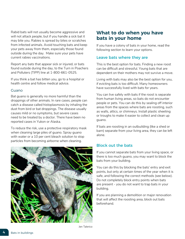Rabid bats will not usually become aggressive and will not attack people, but if you handle a sick bat it may bite you. Rabies is spread by bites or scratches from infected animals. Avoid touching bats and keep your pets away from them, especially those found outside during the day. Make sure your pets have current rabies vaccinations.

Report any bats that appear sick or injured, or bats found outside during the day, to the Turn in Poachers and Polluters (TIPP) line at 1-800-661-0525.

If you think a bat has bitten you, go to a hospital or health centre and follow medical advice.

### Guano

Bat guano is generally no more harmful than the droppings of other animals. In rare cases, people can catch a disease called histoplasmosis by inhaling the dust from bird or bat droppings. The disease usually causes mild or no symptoms, but severe cases need to be treated by a doctor. There have been no reported cases in Yukon or Alaska.

To reduce the risk, use a protective respiratory mask when cleaning large piles of guano. Spray guano with water or a 10 per cent bleach solution to stop particles from becoming airborne when cleaning.



# **What to do when you have bats in your home**

If you have a colony of bats in your home, read the following section to learn your options.

### Leave bats where they are

This is the best option for bats. Finding a new roost can be difficult and stressful. Young bats that are dependent on their mothers may not survive a move.

Living with bats may also be the best option for you, if evicting bats is too difficult. Many homeowners have successfully lived with bats for years.

You can live safely with bats if the roost is separate from human living areas, so bats do not encounter people or pets. You can do this by sealing off interior areas from the spaces where bats are roosting, such as walls, attics, or chimneys. Install plastic sheeting or troughs to make it easier to collect and clean up guano.

If bats are roosting in an outbuilding (like a shed or barn) separate from your living area, they can be left alone.

## Block out the bats

If you cannot separate bats from your living space, or there is too much guano, you may want to block the bats from your building.

You can do this by blocking the bats' entry and exit points, but only at certain times of the year when it is safe, and following the correct methods (see below). Do not completely block entry points when bats are present - you do not want to trap bats in your building.

If you are planning a demolition or major renovation that will affect the roosting area, block out bats beforehand.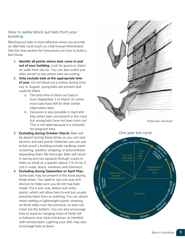### How to safely block out bats from your building

Blocking out bats is most effective when you provide an alternate roost (such as a bat house) beforehand. See the next section for instructions on how to build a bat house.

- 1. **Identify all points where bats come in and out of your building.** Look for guano or stains on walls from oily fur. You can also watch just after sunset to see where bats are exiting.
- 2. **Only exclude bats at the appropriate time of year.** Do not block out a colony during June, July or August: young bats are present and could be killed.
	- a. The best time to block out bats is from September 1 to March 31 when most bats have left for their winter hibernation sites.
	- b. Exclusion is also possible in April and May when bats are present in the roost but young bats have not been born yet. This is not ideal because it is stressful for pregnant bats.
- 3. **Excluding during October-March:** Bats will be absent during these times, so you can seal all entry and exit points. Materials you can use to bat-proof a building include caulking, mesh screening, weather stripping, or polyurethane expanding foam. Be thorough. Bats will return in spring and can squeeze through cracks or holes as small as a quarter (about 1.5 cm by 3 cm) in walls, doors, windows and chimneys.
- 4. **Excluding during September or April-May:** Some bats may be present in the roost during these times. You need to use one-way exit devices to make sure you do not trap bats inside. Put a one-way sleeve over entry points, which will allow bats to exit but usually prevents them from re-entering. You can attach mesh netting or lightweight plastic sheeting on three sides over the entrance, so bats can crawl out the bottom. You can also encourage bats to leave by hanging strips of Mylar foil or balloons near roost entrances, to interfere with echolocation. Lighting your attic may also encourage bats to leave.



YG/Jennifer Staniforth

One year bat cycle

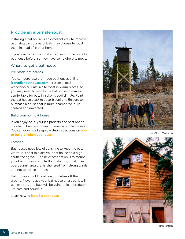### Provide an alternate roost

Installing a bat house is an excellent way to improve bat habitat in your yard. Bats may choose to roost there instead of in your home.

If you plan to block out bats from your home, install a bat house before, so they have somewhere to move.

### Where to get a bat house

#### Pre-made bat houses

You can purchase pre-made bat houses online (**[canadianbathouses.com](http://canadianbathouses.com/)**) or from a local woodworker. Bats like to roost in warm places, so you may need to modify the bat house to make it comfortable for bats in Yukon's cool climate. Paint the bat house black to absorb sunlight. Be sure to purchase a house that is multi-chambered, fully caulked and unvented.

#### Build your own bat house

If you enjoy do-it-yourself projects, the best option may be to build your own Yukon-specific bat house. You can download step-by-step instructions on **[how](http://www.env.gov.yk.ca/publications-maps/documents/bat_house_instructions_2010.pdf)  [to build a Yukon bat house](http://www.env.gov.yk.ca/publications-maps/documents/bat_house_instructions_2010.pdf)**.

#### Location

Bat houses need lots of sunshine to keep the bats warm. It is best to place your bat house on a high, south-facing wall. The next best option is to mount your bat house on a pole. If you do this, put it in an open, sunny area that is sheltered from strong winds and not too close to trees.

Bat houses should be at least 3 metres off the ground. Never place your bat house on a tree: it will get less sun, and bats will be vulnerable to predators like cats and squirrels.

Learn how to **[install a bat house](http://www.batcon.org/resources/getting-involved/bat-houses/install)**.



YG/Scott Cameron



Brian Slough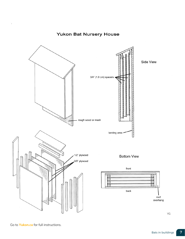# **Yukon Bat Nursery House**



YG

Go to **[Yukon.ca](https://yukon.ca/en/building-yukon-bat-nursery-house)** for full instructions.

 $\lambda$